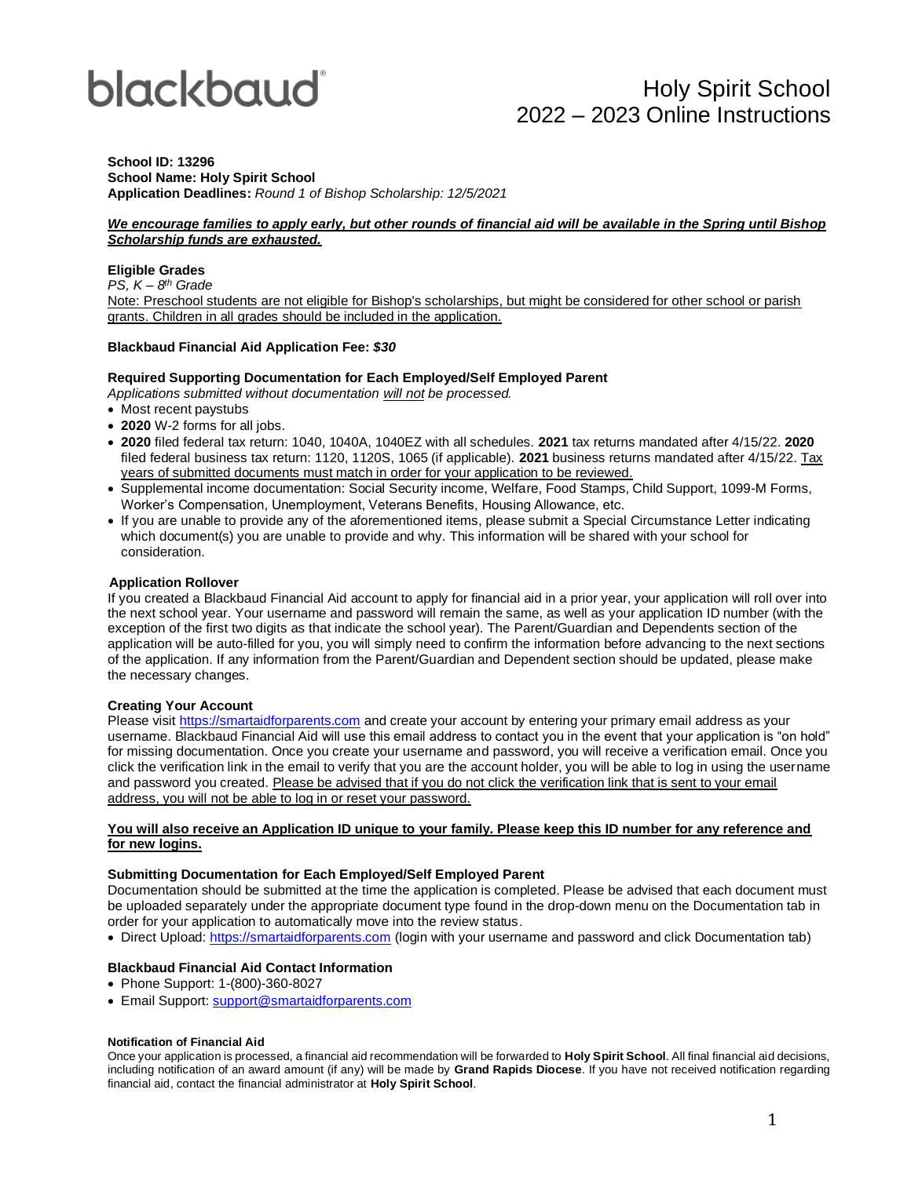# blackbaud

#### **School ID: 13296 School Name: Holy Spirit School Application Deadlines:** *Round 1 of Bishop Scholarship: 12/5/2021*

#### *We encourage families to apply early, but other rounds of financial aid will be available in the Spring until Bishop Scholarship funds are exhausted.*

#### **Eligible Grades**

*PS, K – 8 th Grade*

Note: Preschool students are not eligible for Bishop's scholarships, but might be considered for other school or parish grants. Children in all grades should be included in the application.

#### **Blackbaud Financial Aid Application Fee:** *\$30*

#### **Required Supporting Documentation for Each Employed/Self Employed Parent**

*Applications submitted without documentation will not be processed.*

- Most recent paystubs
- **2020** W-2 forms for all jobs.
- **2020** filed federal tax return: 1040, 1040A, 1040EZ with all schedules. **2021** tax returns mandated after 4/15/22. **2020** filed federal business tax return: 1120, 1120S, 1065 (if applicable). 2021 business returns mandated after 4/15/22. Tax years of submitted documents must match in order for your application to be reviewed.
- Supplemental income documentation: Social Security income, Welfare, Food Stamps, Child Support, 1099-M Forms, Worker's Compensation, Unemployment, Veterans Benefits, Housing Allowance, etc.
- If you are unable to provide any of the aforementioned items, please submit a Special Circumstance Letter indicating which document(s) you are unable to provide and why. This information will be shared with your school for consideration.

#### **Application Rollover**

If you created a Blackbaud Financial Aid account to apply for financial aid in a prior year, your application will roll over into the next school year. Your username and password will remain the same, as well as your application ID number (with the exception of the first two digits as that indicate the school year). The Parent/Guardian and Dependents section of the application will be auto-filled for you, you will simply need to confirm the information before advancing to the next sections of the application. If any information from the Parent/Guardian and Dependent section should be updated, please make the necessary changes.

#### **Creating Your Account**

Please visi[t https://smartaidforparents.com](http://www.smartaidforparents.com/) and create your account by entering your primary email address as your username. Blackbaud Financial Aid will use this email address to contact you in the event that your application is "on hold" for missing documentation. Once you create your username and password, you will receive a verification email. Once you click the verification link in the email to verify that you are the account holder, you will be able to log in using the username and password you created. Please be advised that if you do not click the verification link that is sent to your email address, you will not be able to log in or reset your password.

#### **You will also receive an Application ID unique to your family. Please keep this ID number for any reference and for new logins.**

#### **Submitting Documentation for Each Employed/Self Employed Parent**

Documentation should be submitted at the time the application is completed. Please be advised that each document must be uploaded separately under the appropriate document type found in the drop-down menu on the Documentation tab in order for your application to automatically move into the review status.

• Direct Upload[: https://smartaidforparents.com](http://www.smartaidforparents.com/) (login with your username and password and click Documentation tab)

#### **Blackbaud Financial Aid Contact Information**

- Phone Support: 1-(800)-360-8027
- Email Support[: support@smartaidforparents.com](mailto:support@smartaidforparents.com)

#### **Notification of Financial Aid**

Once your application is processed, a financial aid recommendation will be forwarded to **Holy Spirit School**. All final financial aid decisions, including notification of an award amount (if any) will be made by **Grand Rapids Diocese**. If you have not received notification regarding financial aid, contact the financial administrator at **Holy Spirit School**.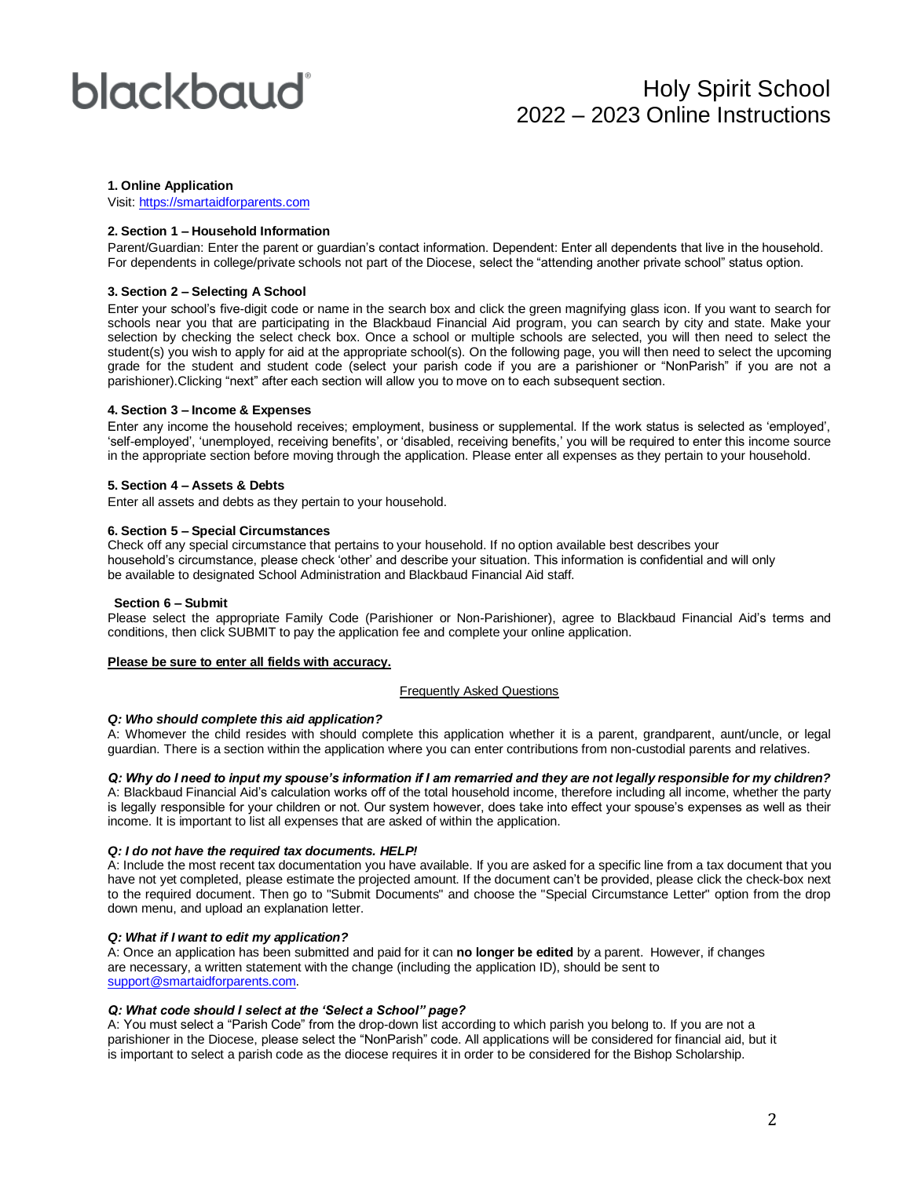## blackbaud

### Holy Spirit School 2022 – 2023 Online Instructions

#### **1. Online Application**

Visit[: https://smartaidforparents.com](http://www.smartaidforparents.com/)

#### **2. Section 1 – Household Information**

Parent/Guardian: Enter the parent or guardian's contact information. Dependent: Enter all dependents that live in the household. For dependents in college/private schools not part of the Diocese, select the "attending another private school" status option.

#### **3. Section 2 – Selecting A School**

Enter your school's five-digit code or name in the search box and click the green magnifying glass icon. If you want to search for schools near you that are participating in the Blackbaud Financial Aid program, you can search by city and state. Make your selection by checking the select check box. Once a school or multiple schools are selected, you will then need to select the student(s) you wish to apply for aid at the appropriate school(s). On the following page, you will then need to select the upcoming grade for the student and student code (select your parish code if you are a parishioner or "NonParish" if you are not a parishioner).Clicking "next" after each section will allow you to move on to each subsequent section.

#### **4. Section 3 – Income & Expenses**

Enter any income the household receives; employment, business or supplemental. If the work status is selected as 'employed', 'self-employed', 'unemployed, receiving benefits', or 'disabled, receiving benefits,' you will be required to enter this income source in the appropriate section before moving through the application. Please enter all expenses as they pertain to your household.

#### **5. Section 4 – Assets & Debts**

Enter all assets and debts as they pertain to your household.

#### **6. Section 5 – Special Circumstances**

Check off any special circumstance that pertains to your household. If no option available best describes your household's circumstance, please check 'other' and describe your situation. This information is confidential and will only be available to designated School Administration and Blackbaud Financial Aid staff.

#### **Section 6 – Submit**

Please select the appropriate Family Code (Parishioner or Non-Parishioner), agree to Blackbaud Financial Aid's terms and conditions, then click SUBMIT to pay the application fee and complete your online application.

#### **Please be sure to enter all fields with accuracy.**

#### Frequently Asked Questions

#### *Q: Who should complete this aid application?*

A: Whomever the child resides with should complete this application whether it is a parent, grandparent, aunt/uncle, or legal guardian. There is a section within the application where you can enter contributions from non-custodial parents and relatives.

*Q: Why do I need to input my spouse's information if I am remarried and they are not legally responsible for my children?*

A: Blackbaud Financial Aid's calculation works off of the total household income, therefore including all income, whether the party is legally responsible for your children or not. Our system however, does take into effect your spouse's expenses as well as their income. It is important to list all expenses that are asked of within the application.

#### *Q: I do not have the required tax documents. HELP!*

A: Include the most recent tax documentation you have available. If you are asked for a specific line from a tax document that you have not yet completed, please estimate the projected amount. If the document can't be provided, please click the check-box next to the required document. Then go to "Submit Documents" and choose the "Special Circumstance Letter" option from the drop down menu, and upload an explanation letter.

#### *Q: What if I want to edit my application?*

A: Once an application has been submitted and paid for it can **no longer be edited** by a parent. However, if changes are necessary, a written statement with the change (including the application ID), should be sent to [support@smartaidforparents.com.](mailto:support@smartaidforparents.com)

#### *Q: What code should I select at the 'Select a School" page?*

A: You must select a "Parish Code" from the drop-down list according to which parish you belong to. If you are not a parishioner in the Diocese, please select the "NonParish" code. All applications will be considered for financial aid, but it is important to select a parish code as the diocese requires it in order to be considered for the Bishop Scholarship.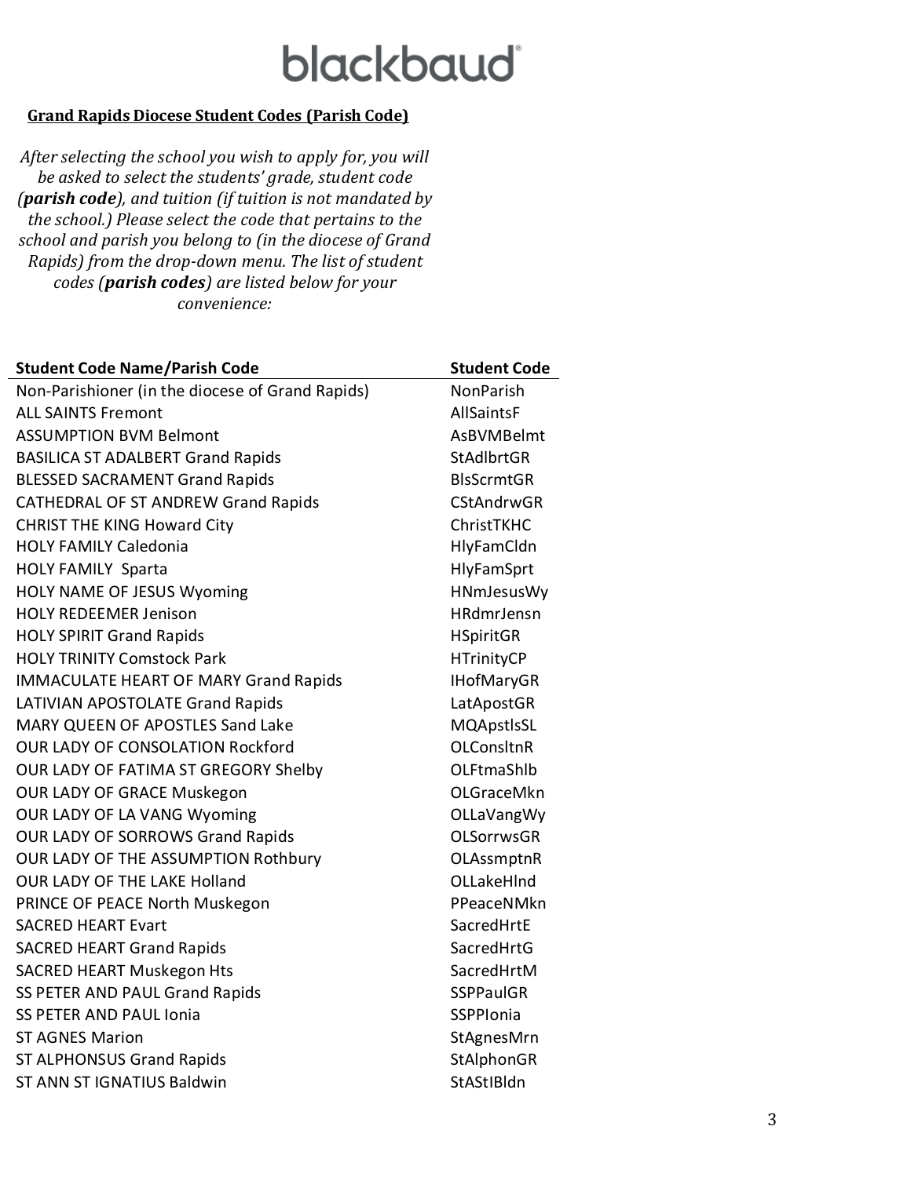### **blackbaud**

### **Grand Rapids Diocese Student Codes (Parish Code)**

*After selecting the school you wish to apply for, you will be asked to select the students' grade, student code (parish code), and tuition (if tuition is not mandated by the school.) Please select the code that pertains to the school and parish you belong to (in the diocese of Grand Rapids) from the drop-down menu. The list of student codes (parish codes) are listed below for your convenience:*

| <b>Student Code Name/Parish Code</b>             | <b>Student Code</b> |
|--------------------------------------------------|---------------------|
| Non-Parishioner (in the diocese of Grand Rapids) | <b>NonParish</b>    |
| <b>ALL SAINTS Fremont</b>                        | <b>AllSaintsF</b>   |
| <b>ASSUMPTION BVM Belmont</b>                    | <b>AsBVMBelmt</b>   |
| <b>BASILICA ST ADALBERT Grand Rapids</b>         | <b>StAdlbrtGR</b>   |
| <b>BLESSED SACRAMENT Grand Rapids</b>            | <b>BIsScrmtGR</b>   |
| <b>CATHEDRAL OF ST ANDREW Grand Rapids</b>       | <b>CStAndrwGR</b>   |
| <b>CHRIST THE KING Howard City</b>               | ChristTKHC          |
| <b>HOLY FAMILY Caledonia</b>                     | HlyFamCldn          |
| <b>HOLY FAMILY Sparta</b>                        | <b>HlyFamSprt</b>   |
| <b>HOLY NAME OF JESUS Wyoming</b>                | HNmJesusWy          |
| <b>HOLY REDEEMER Jenison</b>                     | <b>HRdmrJensn</b>   |
| <b>HOLY SPIRIT Grand Rapids</b>                  | <b>HSpiritGR</b>    |
| <b>HOLY TRINITY Comstock Park</b>                | <b>HTrinityCP</b>   |
| <b>IMMACULATE HEART OF MARY Grand Rapids</b>     | <b>IHofMaryGR</b>   |
| LATIVIAN APOSTOLATE Grand Rapids                 | LatApostGR          |
| <b>MARY QUEEN OF APOSTLES Sand Lake</b>          | MQApstlsSL          |
| <b>OUR LADY OF CONSOLATION Rockford</b>          | <b>OLConsItnR</b>   |
| OUR LADY OF FATIMA ST GREGORY Shelby             | OLFtmaShlb          |
| OUR LADY OF GRACE Muskegon                       | <b>OLGraceMkn</b>   |
| OUR LADY OF LA VANG Wyoming                      | OLLaVangWy          |
| OUR LADY OF SORROWS Grand Rapids                 | <b>OLSorrwsGR</b>   |
| <b>OUR LADY OF THE ASSUMPTION Rothbury</b>       | OLAssmptnR          |
| <b>OUR LADY OF THE LAKE Holland</b>              | OLLakeHInd          |
| PRINCE OF PEACE North Muskegon                   | PPeaceNMkn          |
| <b>SACRED HEART Evart</b>                        | SacredHrtE          |
| <b>SACRED HEART Grand Rapids</b>                 | SacredHrtG          |
| <b>SACRED HEART Muskegon Hts</b>                 | SacredHrtM          |
| SS PETER AND PAUL Grand Rapids                   | <b>SSPPaulGR</b>    |
| <b>SS PETER AND PAUL Ionia</b>                   | SSPPIonia           |
| <b>ST AGNES Marion</b>                           | StAgnesMrn          |
| <b>ST ALPHONSUS Grand Rapids</b>                 | StAlphonGR          |
| ST ANN ST IGNATIUS Baldwin                       | StAStIBldn          |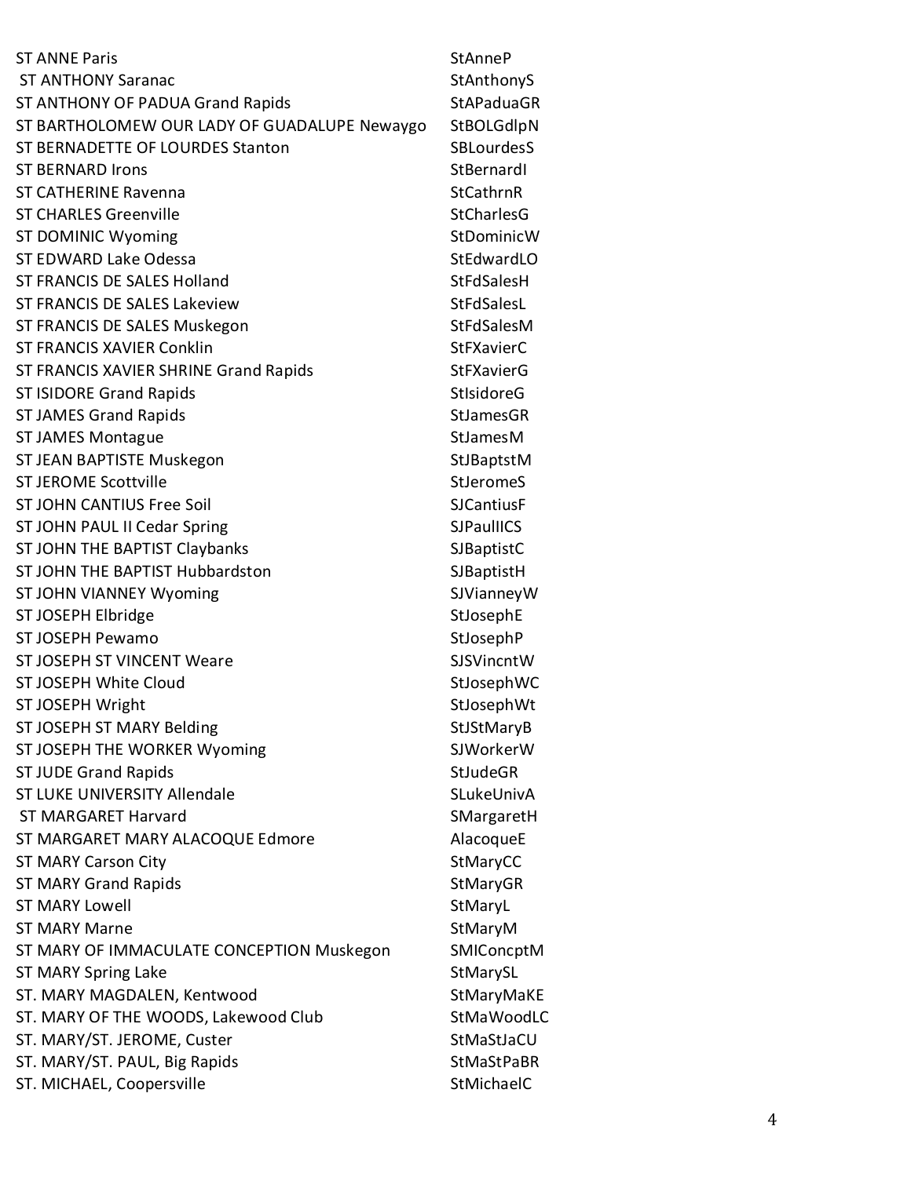| <b>ST ANNE Paris</b>                         | <b>StAnneP</b>    |
|----------------------------------------------|-------------------|
| <b>ST ANTHONY Saranac</b>                    | StAnthonyS        |
| ST ANTHONY OF PADUA Grand Rapids             | <b>StAPaduaGR</b> |
| ST BARTHOLOMEW OUR LADY OF GUADALUPE Newaygo | StBOLGdlpN        |
| ST BERNADETTE OF LOURDES Stanton             | <b>SBLourdesS</b> |
| <b>ST BERNARD Irons</b>                      | StBernardI        |
| <b>ST CATHERINE Ravenna</b>                  | StCathrnR         |
| <b>ST CHARLES Greenville</b>                 | <b>StCharlesG</b> |
| <b>ST DOMINIC Wyoming</b>                    | StDominicW        |
| <b>ST EDWARD Lake Odessa</b>                 | StEdwardLO        |
| <b>ST FRANCIS DE SALES Holland</b>           | StFdSalesH        |
| <b>ST FRANCIS DE SALES Lakeview</b>          | StFdSalesL        |
| ST FRANCIS DE SALES Muskegon                 | StFdSalesM        |
| ST FRANCIS XAVIER Conklin                    | <b>StFXavierC</b> |
| ST FRANCIS XAVIER SHRINE Grand Rapids        | <b>StFXavierG</b> |
| <b>ST ISIDORE Grand Rapids</b>               | <b>StIsidoreG</b> |
| <b>ST JAMES Grand Rapids</b>                 | <b>StJamesGR</b>  |
| <b>ST JAMES Montague</b>                     | <b>StJamesM</b>   |
| ST JEAN BAPTISTE Muskegon                    | StJBaptstM        |
| <b>ST JEROME Scottville</b>                  | <b>StJeromeS</b>  |
| <b>ST JOHN CANTIUS Free Soil</b>             | <b>SJCantiusF</b> |
| ST JOHN PAUL II Cedar Spring                 | <b>SJPaulIICS</b> |
| ST JOHN THE BAPTIST Claybanks                | <b>SJBaptistC</b> |
| ST JOHN THE BAPTIST Hubbardston              | SJBaptistH        |
| ST JOHN VIANNEY Wyoming                      | SJVianneyW        |
| ST JOSEPH Elbridge                           | StJosephE         |
| <b>ST JOSEPH Pewamo</b>                      | StJosephP         |
| <b>ST JOSEPH ST VINCENT Weare</b>            | SJSVincntW        |
| ST JOSEPH White Cloud                        | StJosephWC        |
| ST JOSEPH Wright                             | StJosephWt        |
| ST JOSEPH ST MARY Belding                    | StJStMaryB        |
| ST JOSEPH THE WORKER Wyoming                 | SJWorkerW         |
| <b>ST JUDE Grand Rapids</b>                  | StJudeGR          |
| <b>ST LUKE UNIVERSITY Allendale</b>          | SLukeUnivA        |
| <b>ST MARGARET Harvard</b>                   | SMargaretH        |
| ST MARGARET MARY ALACOQUE Edmore             | AlacoqueE         |
| <b>ST MARY Carson City</b>                   | StMaryCC          |
| <b>ST MARY Grand Rapids</b>                  | StMaryGR          |
| <b>ST MARY Lowell</b>                        | StMaryL           |
| <b>ST MARY Marne</b>                         | StMaryM           |
| ST MARY OF IMMACULATE CONCEPTION Muskegon    | SMIConcptM        |
| ST MARY Spring Lake                          | StMarySL          |
| ST. MARY MAGDALEN, Kentwood                  | StMaryMaKE        |
| ST. MARY OF THE WOODS, Lakewood Club         | StMaWoodLC        |
| ST. MARY/ST. JEROME, Custer                  | StMaStJaCU        |
| ST. MARY/ST. PAUL, Big Rapids                | <b>StMaStPaBR</b> |
| ST. MICHAEL, Coopersville                    | StMichaelC        |